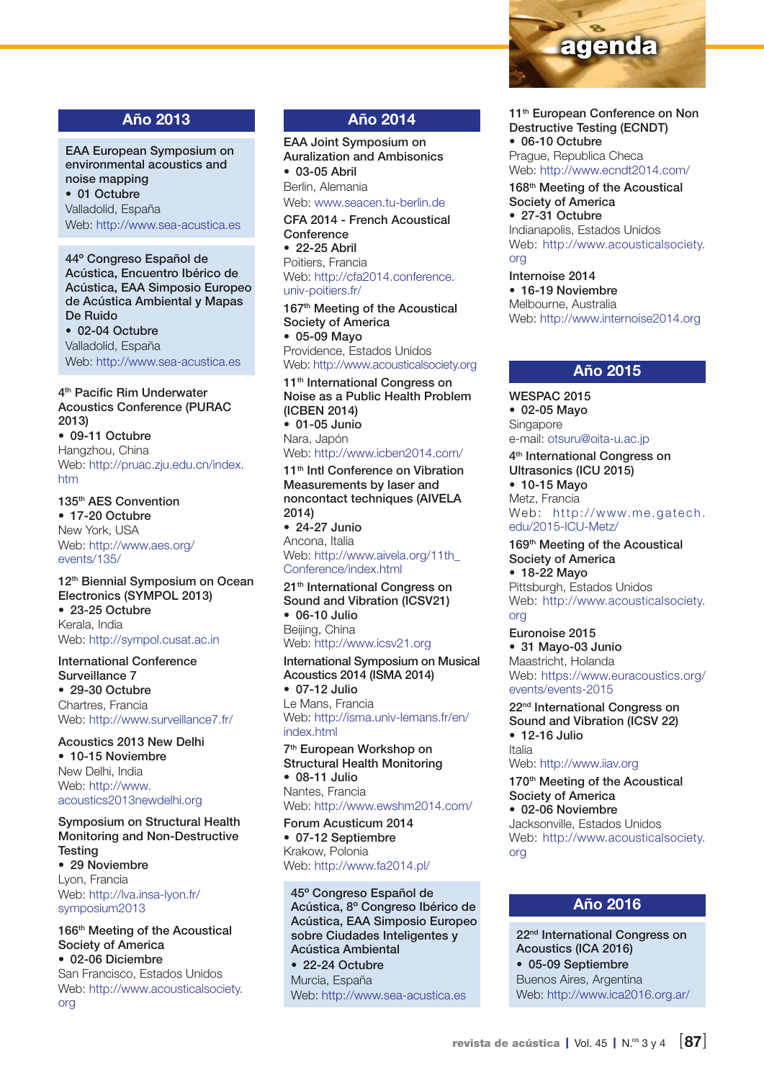

# Año 2013

EAA European Symposium on environmental acoustics and noise mapping • 01 Octubre

Valladolid, España Web: [http://www.sea-acustica.es](http://www.sea-acustica.es/index.php?id=494)

44º Congreso Español de Acústica, Encuentro Ibérico de Acústica, EAA Simposio Europeo de Acústica Ambiental y Mapas De Ruido

• 02-04 Octubre Valladolid, España Web:<http://www.sea-acustica.es>

#### 4<sup>th</sup> Pacific Rim Underwater Acoustics Conference (PURAC 2013)

• 09-11 Octubre Hangzhou, China Web: [http://pruac.zju.edu.cn/index.](http://pruac.zju.edu.cn/index.htm) [htm](http://pruac.zju.edu.cn/index.htm)

## 135th AES Convention

• 17-20 Octubre New York, USA Web: [http://www.aes.org/](http://www.aes.org/events/135/) [events/135/](http://www.aes.org/events/135/)

#### 12<sup>th</sup> Biennial Symposium on Ocean Electronics (SYMPOL 2013)

• 23-25 Octubre Kerala, India Web:<http://sympol.cusat.ac.in>

#### International Conference Surveillance 7

• 29-30 Octubre Chartres, Francia Web:<http://www.surveillance7.fr/>

#### Acoustics 2013 New Delhi • 10-15 Noviembre New Delhi, India Web: [http://www.](http://www.acoustics2013newdelhi.org) [acoustics2013newdelhi.org](http://www.acoustics2013newdelhi.org)

Symposium on Structural Health Monitoring and Non-Destructive **Testing** • 29 Noviembre

Lyon, Francia Web: [http://lva.insa-lyon.fr/](http://lva.insa-lyon.fr/symposium2013) [symposium2013](http://lva.insa-lyon.fr/symposium2013)

[org](http://www.acousticalsociety.org)

166<sup>th</sup> Meeting of the Acoustical Society of America • 02-06 Diciembre San Francisco, Estados Unidos Web: [http://www.acousticalsociety.](http://www.acousticalsociety.org)

# Año 2014

EAA Joint Symposium on Auralization and Ambisonics • 03-05 Abril Berlin, Alemania Web: [www.seacen.tu-berlin.de](http://www.seacen.tu-berlin.de)

CFA 2014 - French Acoustical **Conference** • 22-25 Abril Poitiers, Francia Web: [http://cfa2014.conference.](http://cfa2014.conference.univ-poitiers.fr/)

[univ-poitiers.fr/](http://cfa2014.conference.univ-poitiers.fr/) 167<sup>th</sup> Meeting of the Acoustical Society of America • 05-09 Mayo Providence, Estados Unidos

Web:<http://www.acousticalsociety.org>

11<sup>th</sup> International Congress on Noise as a Public Health Problem (ICBEN 2014) • 01-05 Junio Nara, Japón

#### Web:<http://www.icben2014.com/>

11<sup>th</sup> Intl Conference on Vibration Measurements by laser and noncontact techniques (AIVELA 2014) • 24-27 Junio

Ancona, Italia Web: [http://www.aivela.org/11th\\_](http://www.aivela.org/11th_Conference/index.html) [Conference/index.html](http://www.aivela.org/11th_Conference/index.html)

21<sup>th</sup> International Congress on Sound and Vibration (ICSV21) • 06-10 Julio Beijing, China Web:<http://www.icsv21.org>

International Symposium on Musical Acoustics 2014 (ISMA 2014) • 07-12 Julio Le Mans, Francia Web: [http://isma.univ-lemans.fr/en/](http://isma.univ-lemans.fr/en/index.html) [index.html](http://isma.univ-lemans.fr/en/index.html)

#### 7th European Workshop on Structural Health Monitoring • 08-11 Julio Nantes, Francia

Web:<http://www.ewshm2014.com/>

Forum Acusticum 2014 • 07-12 Septiembre Krakow, Polonia Web:<http://www.fa2014.pl/>

45º Congreso Español de Acústica, 8º Congreso Ibérico de Acústica, EAA Simposio Europeo sobre Ciudades Inteligentes y Acústica Ambiental • 22-24 Octubre Murcia, España Web: <http://www.sea-acustica.es>

11<sup>th</sup> European Conference on Non Destructive Testing (ECNDT) • 06-10 Octubre Prague, Republica Checa

Web: <http://www.ecndt2014.com>/ 168th Meeting of the Acoustical Society of America

• 27-31 Octubre Indianapolis, Estados Unidos Web: [http://www.acousticalsociety.](http://www.acousticalsociety.org) [org](http://www.acousticalsociety.org)

Internoise 2014 • 16-19 Noviembre Melbourne, Australia Web: <http://www.internoise2014.org>

#### Año 2015

WESPAC 2015 • 02-05 Mayo Singapore e-mail: [otsuru@oita-u.ac.jp](mailto:otsuru%40oita-u.ac.jp?subject=)

4th International Congress on Ultrasonics (ICU 2015) • 10-15 Mayo Metz, Francia Web: [http://www.me.gatech.](http://www.me.gatech.edu/2015-ICU-Metz/) [edu/2015-ICU-Metz/](http://www.me.gatech.edu/2015-ICU-Metz/)

169<sup>th</sup> Meeting of the Acoustical Society of America • 18-22 Mayo Pittsburgh, Estados Unidos Web: [http://www.acousticalsociety.](http://www.acousticalsociety.org)

[org](http://www.acousticalsociety.org)

Euronoise 2015 • 31 Mayo-03 Junio Maastricht, Holanda Web: [https://www.euracoustics.org/](https://www.euracoustics.org/events/events-2015) [events/events-2015](https://www.euracoustics.org/events/events-2015)

22nd International Congress on Sound and Vibration (ICSV 22) • 12-16 Julio Italia Web: <http://www.iiav.org>

170<sup>th</sup> Meeting of the Acoustical Society of America • 02-06 Noviembre Jacksonville, Estados Unidos Web: [http://www.acousticalsociety.](http://www.acousticalsociety.org) [org](http://www.acousticalsociety.org)

## Año 2016

22<sup>nd</sup> International Congress on Acoustics (ICA 2016) • 05-09 Septiembre Buenos Aires, Argentina Web: <http://www.ica2016.org.ar/>